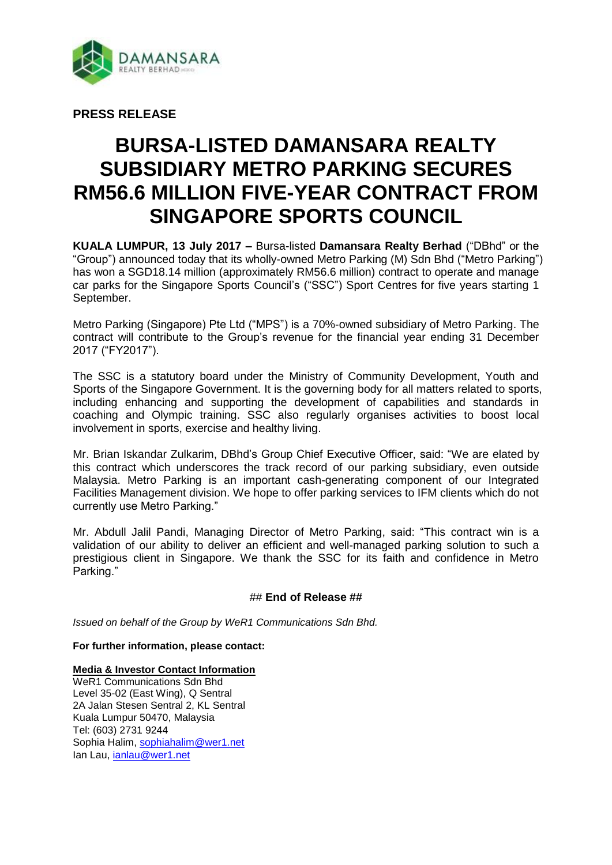

**PRESS RELEASE**

# **BURSA-LISTED DAMANSARA REALTY SUBSIDIARY METRO PARKING SECURES RM56.6 MILLION FIVE-YEAR CONTRACT FROM SINGAPORE SPORTS COUNCIL**

**KUALA LUMPUR, 13 July 2017 –** Bursa-listed **Damansara Realty Berhad** ("DBhd" or the "Group") announced today that its wholly-owned Metro Parking (M) Sdn Bhd ("Metro Parking") has won a SGD18.14 million (approximately RM56.6 million) contract to operate and manage car parks for the Singapore Sports Council's ("SSC") Sport Centres for five years starting 1 September.

Metro Parking (Singapore) Pte Ltd ("MPS") is a 70%-owned subsidiary of Metro Parking. The contract will contribute to the Group's revenue for the financial year ending 31 December 2017 ("FY2017").

The SSC is a statutory board under the Ministry of Community Development, Youth and Sports of the Singapore Government. It is the governing body for all matters related to sports, including enhancing and supporting the development of capabilities and standards in coaching and Olympic training. SSC also regularly organises activities to boost local involvement in sports, exercise and healthy living.

Mr. Brian Iskandar Zulkarim, DBhd's Group Chief Executive Officer, said: "We are elated by this contract which underscores the track record of our parking subsidiary, even outside Malaysia. Metro Parking is an important cash-generating component of our Integrated Facilities Management division. We hope to offer parking services to IFM clients which do not currently use Metro Parking."

Mr. Abdull Jalil Pandi, Managing Director of Metro Parking, said: "This contract win is a validation of our ability to deliver an efficient and well-managed parking solution to such a prestigious client in Singapore. We thank the SSC for its faith and confidence in Metro Parking."

## ## **End of Release ##**

*Issued on behalf of the Group by WeR1 Communications Sdn Bhd.*

### **For further information, please contact:**

#### **Media & Investor Contact Information**

WeR1 Communications Sdn Bhd Level 35-02 (East Wing), Q Sentral 2A Jalan Stesen Sentral 2, KL Sentral Kuala Lumpur 50470, Malaysia Tel: (603) 2731 9244 Sophia Halim, [sophiahalim@wer1.net](mailto:sophiahalim@wer1.net) Ian Lau, [ianlau@wer1.net](mailto:ianlau@wer1.net)